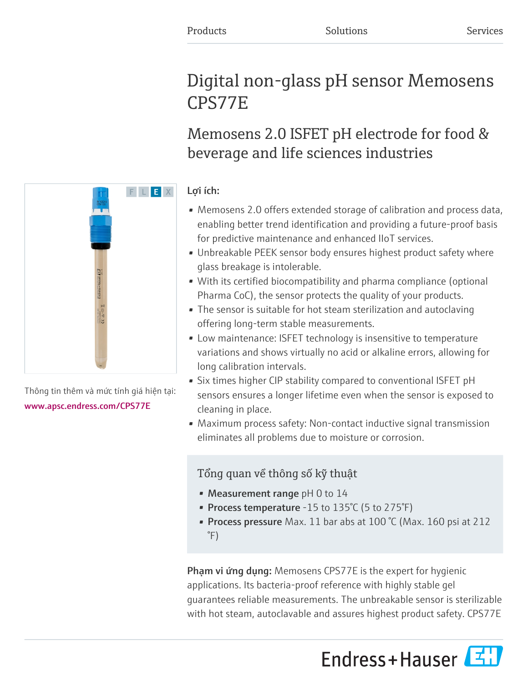# Digital non-glass pH sensor Memosens CPS77E

Memosens 2.0 ISFET pH electrode for food & beverage and life sciences industries

# Lợi ích:

- Memosens 2.0 offers extended storage of calibration and process data, enabling better trend identification and providing a future-proof basis for predictive maintenance and enhanced IIoT services.
- Unbreakable PEEK sensor body ensures highest product safety where glass breakage is intolerable.
- With its certified biocompatibility and pharma compliance (optional Pharma CoC), the sensor protects the quality of your products.
- The sensor is suitable for hot steam sterilization and autoclaving offering long-term stable measurements.
- Low maintenance: ISFET technology is insensitive to temperature variations and shows virtually no acid or alkaline errors, allowing for long calibration intervals.
- Six times higher CIP stability compared to conventional ISFET pH sensors ensures a longer lifetime even when the sensor is exposed to cleaning in place.
- Maximum process safety: Non-contact inductive signal transmission eliminates all problems due to moisture or corrosion.

# Tổng quan về thông số kỹ thuật

- Measurement range  $pH$  0 to 14
- Process temperature  $-15$  to  $135^{\circ}$ C (5 to  $275^{\circ}$ F)
- Process pressure Max. 11 bar abs at 100 °C (Max. 160 psi at 212 °F)

Phạm vi ứng dụng: Memosens CPS77E is the expert for hygienic applications. Its bacteria-proof reference with highly stable gel guarantees reliable measurements. The unbreakable sensor is sterilizable with hot steam, autoclavable and assures highest product safety. CPS77E





Thông tin thêm và mức tính giá hiện tại: [www.apsc.endress.com/CPS77E](https://www.apsc.endress.com/CPS77E)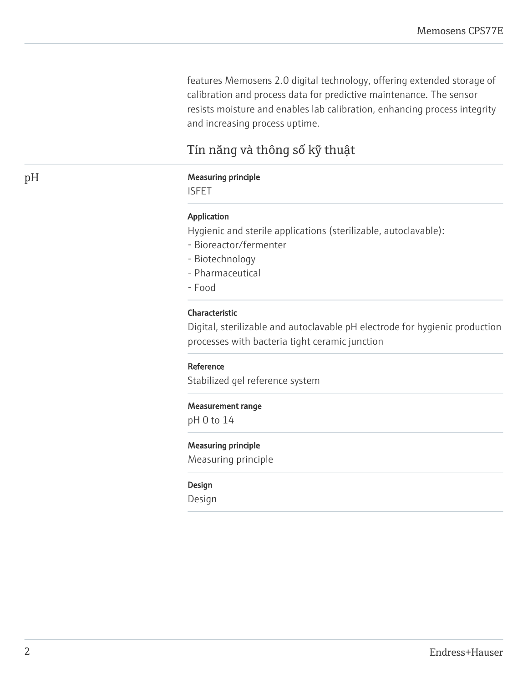features Memosens 2.0 digital technology, offering extended storage of calibration and process data for predictive maintenance. The sensor resists moisture and enables lab calibration, enhancing process integrity and increasing process uptime.

# Tín năng và thông số kỹ thuật

# pH Measuring principle

ISFET

#### Application

Hygienic and sterile applications (sterilizable, autoclavable):

- Bioreactor/fermenter
- Biotechnology
- Pharmaceutical
- Food

# Characteristic

Digital, sterilizable and autoclavable pH electrode for hygienic production processes with bacteria tight ceramic junction

#### Reference

Stabilized gel reference system

#### Measurement range

pH 0 to 14

#### Measuring principle

Measuring principle

#### Design

Design